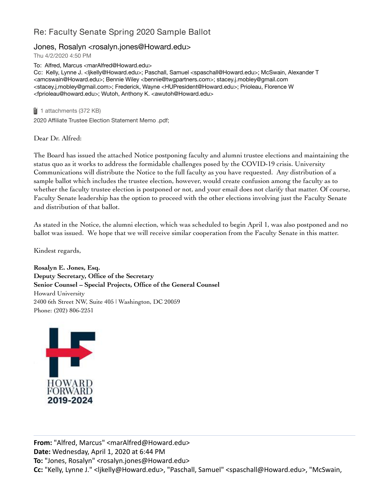## Re: Faculty Senate Spring 2020 Sample Ballot

## Jones, Rosalyn <rosalyn.jones@Howard.edu>

Thu 4/2/2020 4:50 PM

To: Alfred, Marcus <marAlfred@Howard.edu>

Cc: Kelly, Lynne J. <ljkelly@Howard.edu>; Paschall, Samuel <spaschall@Howard.edu>; McSwain, Alexander T <amcswain@Howard.edu>; Bennie Wiley <bennie@twgpartners.com>; stacey.j.mobley@gmail.com <stacey.j.mobley@gmail.com>; Frederick, Wayne <HUPresident@Howard.edu>; Prioleau, Florence W <fprioleau@howard.edu>; Wutoh, Anthony K. <awutoh@Howard.edu>

**1** 1 attachments (372 KB) 2020 Affiliate Trustee Election Statement Memo .pdf;

Dear Dr. Alfred:

The Board has issued the attached Notice postponing faculty and alumni trustee elections and maintaining the status quo as it works to address the formidable challenges posed by the COVID-19 crisis. University Communications will distribute the Notice to the full faculty as you have requested. Any distribution of a sample ballot which includes the trustee election, however, would create confusion among the faculty as to whether the faculty trustee election is postponed or not, and your email does not clarify that matter. Of course, Faculty Senate leadership has the option to proceed with the other elections involving just the Faculty Senate and distribution of that ballot.

As stated in the Notice, the alumni election, which was scheduled to begin April 1, was also postponed and no ballot was issued. We hope that we will receive similar cooperation from the Faculty Senate in this matter.

Kindest regards,

**Rosalyn E. Jones, Esq. Deputy Secretary, Office of the Secretary Senior Counsel – Special Projects, Office of the General Counsel** Howard University 2400 6th Street NW, Suite 405 | Washington, DC 20059 Phone: (202) 806-2251



**From:** "Alfred, Marcus" <marAlfred@Howard.edu> **Date:** Wednesday, April 1, 2020 at 6:44 PM **To:** "Jones, Rosalyn" <rosalyn.jones@Howard.edu> **Cc:** "Kelly, Lynne J." <ljkelly@Howard.edu>, "Paschall, Samuel" <spaschall@Howard.edu>, "McSwain,